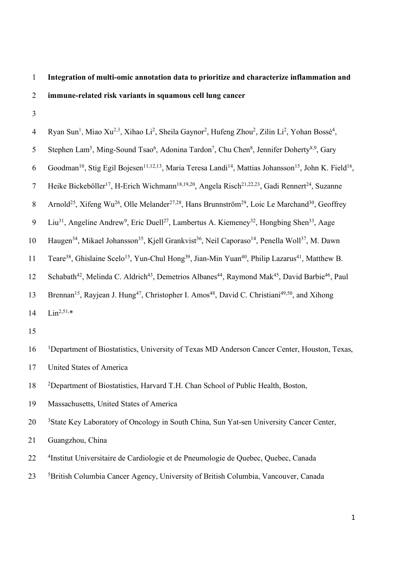# 1 **Integration of multi-omic annotation data to prioritize and characterize inflammation and**  2 **immune-related risk variants in squamous cell lung cancer**

| $\overline{4}$   | Ryan Sun <sup>1</sup> , Miao Xu <sup>2,3</sup> , Xihao Li <sup>2</sup> , Sheila Gaynor <sup>2</sup> , Hufeng Zhou <sup>2</sup> , Zilin Li <sup>2</sup> , Yohan Bossé <sup>4</sup> , |
|------------------|-------------------------------------------------------------------------------------------------------------------------------------------------------------------------------------|
| 5                | Stephen Lam <sup>5</sup> , Ming-Sound Tsao <sup>6</sup> , Adonina Tardon <sup>7</sup> , Chu Chen <sup>8</sup> , Jennifer Doherty <sup>8,9</sup> , Gary                              |
| 6                | Goodman <sup>10</sup> , Stig Egil Bojesen <sup>11,12,13</sup> , Maria Teresa Landi <sup>14</sup> , Mattias Johansson <sup>15</sup> , John K. Field <sup>16</sup> ,                  |
| 7                | Heike Bickeböller <sup>17</sup> , H-Erich Wichmann <sup>18,19,20</sup> , Angela Risch <sup>21,22,23</sup> , Gadi Rennert <sup>24</sup> , Suzanne                                    |
| $8\,$            | Arnold <sup>25</sup> , Xifeng Wu <sup>26</sup> , Olle Melander <sup>27,28</sup> , Hans Brunnström <sup>29</sup> , Loic Le Marchand <sup>30</sup> , Geoffrey                         |
| $\boldsymbol{9}$ | Liu <sup>31</sup> , Angeline Andrew <sup>9</sup> , Eric Duell <sup>27</sup> , Lambertus A. Kiemeney <sup>32</sup> , Hongbing Shen <sup>33</sup> , Aage                              |
| 10               | Haugen <sup>34</sup> , Mikael Johansson <sup>35</sup> , Kjell Grankvist <sup>36</sup> , Neil Caporaso <sup>14</sup> , Penella Woll <sup>37</sup> , M. Dawn                          |
| 11               | Teare <sup>38</sup> , Ghislaine Scelo <sup>15</sup> , Yun-Chul Hong <sup>39</sup> , Jian-Min Yuan <sup>40</sup> , Philip Lazarus <sup>41</sup> , Matthew B.                         |
| 12               | Schabath <sup>42</sup> , Melinda C. Aldrich <sup>43</sup> , Demetrios Albanes <sup>44</sup> , Raymond Mak <sup>45</sup> , David Barbie <sup>46</sup> , Paul                         |
| 13               | Brennan <sup>15</sup> , Rayjean J. Hung <sup>47</sup> , Christopher I. Amos <sup>48</sup> , David C. Christiani <sup>49,50</sup> , and Xihong                                       |
| 14               | $Lin2,51,*$                                                                                                                                                                         |
| 15               |                                                                                                                                                                                     |
| 16               | <sup>1</sup> Department of Biostatistics, University of Texas MD Anderson Cancer Center, Houston, Texas,                                                                            |
| 17               | United States of America                                                                                                                                                            |
| 18               | <sup>2</sup> Department of Biostatistics, Harvard T.H. Chan School of Public Health, Boston,                                                                                        |
| 19               | Massachusetts, United States of America                                                                                                                                             |
| 20               | <sup>3</sup> State Key Laboratory of Oncology in South China, Sun Yat-sen University Cancer Center,                                                                                 |
| 21               | Guangzhou, China                                                                                                                                                                    |
| 22               | <sup>4</sup> Institut Universitaire de Cardiologie et de Pneumologie de Quebec, Quebec, Canada                                                                                      |
| 23               | <sup>5</sup> British Columbia Cancer Agency, University of British Columbia, Vancouver, Canada                                                                                      |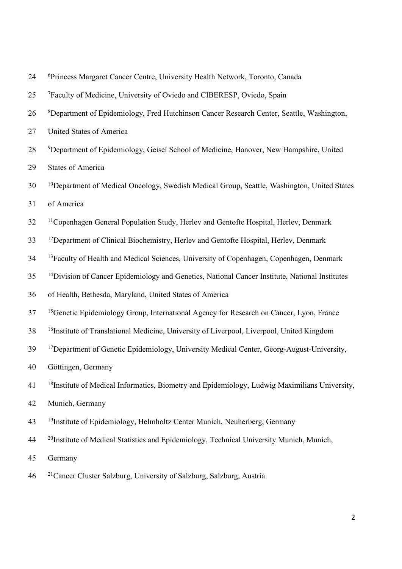| 24 | <sup>6</sup> Princess Margaret Cancer Centre, University Health Network, Toronto, Canada                   |
|----|------------------------------------------------------------------------------------------------------------|
| 25 | <sup>7</sup> Faculty of Medicine, University of Oviedo and CIBERESP, Oviedo, Spain                         |
| 26 | <sup>8</sup> Department of Epidemiology, Fred Hutchinson Cancer Research Center, Seattle, Washington,      |
| 27 | United States of America                                                                                   |
| 28 | <sup>9</sup> Department of Epidemiology, Geisel School of Medicine, Hanover, New Hampshire, United         |
| 29 | <b>States of America</b>                                                                                   |
| 30 | <sup>10</sup> Department of Medical Oncology, Swedish Medical Group, Seattle, Washington, United States    |
| 31 | of America                                                                                                 |
| 32 | <sup>11</sup> Copenhagen General Population Study, Herlev and Gentofte Hospital, Herlev, Denmark           |
| 33 | <sup>12</sup> Department of Clinical Biochemistry, Herlev and Gentofte Hospital, Herlev, Denmark           |
| 34 | <sup>13</sup> Faculty of Health and Medical Sciences, University of Copenhagen, Copenhagen, Denmark        |
| 35 | <sup>14</sup> Division of Cancer Epidemiology and Genetics, National Cancer Institute, National Institutes |
| 36 | of Health, Bethesda, Maryland, United States of America                                                    |
| 37 | <sup>15</sup> Genetic Epidemiology Group, International Agency for Research on Cancer, Lyon, France        |
| 38 | <sup>16</sup> Institute of Translational Medicine, University of Liverpool, Liverpool, United Kingdom      |
| 39 | <sup>17</sup> Department of Genetic Epidemiology, University Medical Center, Georg-August-University,      |
| 40 | Göttingen, Germany                                                                                         |
| 41 | <sup>18</sup> Institute of Medical Informatics, Biometry and Epidemiology, Ludwig Maximilians University,  |
| 42 | Munich, Germany                                                                                            |
| 43 | <sup>19</sup> Institute of Epidemiology, Helmholtz Center Munich, Neuherberg, Germany                      |
| 44 | <sup>20</sup> Institute of Medical Statistics and Epidemiology, Technical University Munich, Munich,       |
| 45 | Germany                                                                                                    |
| 46 | <sup>21</sup> Cancer Cluster Salzburg, University of Salzburg, Salzburg, Austria                           |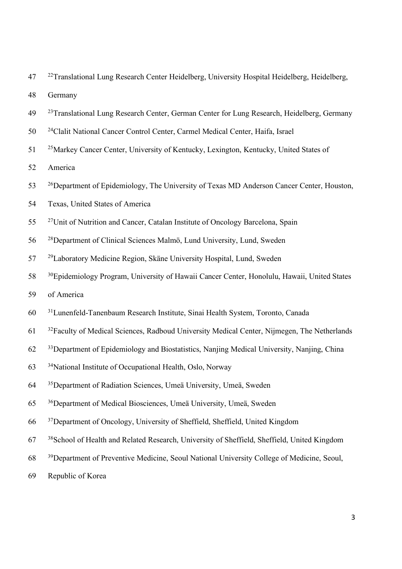<sup>22</sup> Translational Lung Research Center Heidelberg, University Hospital Heidelberg, Heidelberg,

Germany

- <sup>23</sup> Translational Lung Research Center, German Center for Lung Research, Heidelberg, Germany
- 50 <sup>24</sup> Clalit National Cancer Control Center, Carmel Medical Center, Haifa, Israel
- 25Markey Cancer Center, University of Kentucky, Lexington, Kentucky, United States of

America

- 26Department of Epidemiology, The University of Texas MD Anderson Cancer Center, Houston,
- Texas, United States of America
- 27Unit of Nutrition and Cancer, Catalan Institute of Oncology Barcelona, Spain
- 28Department of Clinical Sciences Malmö, Lund University, Lund, Sweden
- <sup>29</sup> Laboratory Medicine Region, Skäne University Hospital, Lund, Sweden
- <sup>30</sup> Epidemiology Program, University of Hawaii Cancer Center, Honolulu, Hawaii, United States
- of America
- <sup>31</sup> Lunenfeld-Tanenbaum Research Institute, Sinai Health System, Toronto, Canada
- <sup>32</sup> Faculty of Medical Sciences, Radboud University Medical Center, Nijmegen, The Netherlands
- 33Department of Epidemiology and Biostatistics, Nanjing Medical University, Nanjing, China
- 34National Institute of Occupational Health, Oslo, Norway
- 35Department of Radiation Sciences, Umeä University, Umeä, Sweden
- 36Department of Medical Biosciences, Umeä University, Umeä, Sweden
- 37Department of Oncology, University of Sheffield, Sheffield, United Kingdom
- <sup>38</sup> School of Health and Related Research, University of Sheffield, Sheffield, United Kingdom
- 39Department of Preventive Medicine, Seoul National University College of Medicine, Seoul,
- Republic of Korea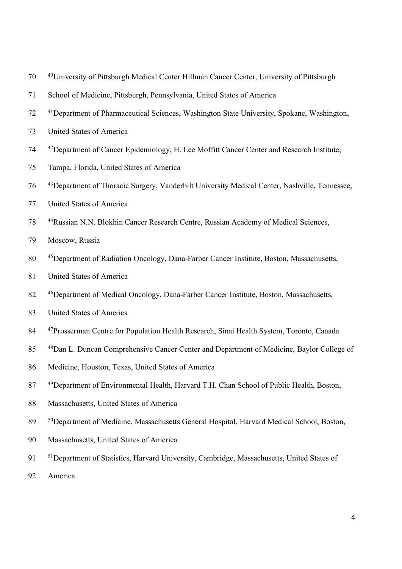- 40University of Pittsburgh Medical Center Hillman Cancer Center, University of Pittsburgh
- School of Medicine, Pittsburgh, Pennsylvania, United States of America
- 41Department of Pharmaceutical Sciences, Washington State University, Spokane, Washington,
- United States of America
- 42Department of Cancer Epidemiology, H. Lee Moffitt Cancer Center and Research Institute,
- Tampa, Florida, United States of America
- 43Department of Thoracic Surgery, Vanderbilt University Medical Center, Nashville, Tennessee,
- United States of America
- 78 <sup>44</sup> Russian N.N. Blokhin Cancer Research Centre, Russian Academy of Medical Sciences,
- Moscow, Russia
- 80 45Department of Radiation Oncology, Dana-Farber Cancer Institute, Boston, Massachusetts,
- United States of America
- 46Department of Medical Oncology, Dana-Farber Cancer Institute, Boston, Massachusetts,
- United States of America
- 84 <sup>47</sup> Prosserman Centre for Population Health Research, Sinai Health System, Toronto, Canada
- 48Dan L. Duncan Comprehensive Cancer Center and Department of Medicine, Baylor College of
- Medicine, Houston, Texas, United States of America
- 87 <sup>49</sup>Department of Environmental Health, Harvard T.H. Chan School of Public Health, Boston,
- Massachusetts, United States of America
- 50Department of Medicine, Massachusetts General Hospital, Harvard Medical School, Boston,
- Massachusetts, United States of America
- 51Department of Statistics, Harvard University, Cambridge, Massachusetts, United States of
- America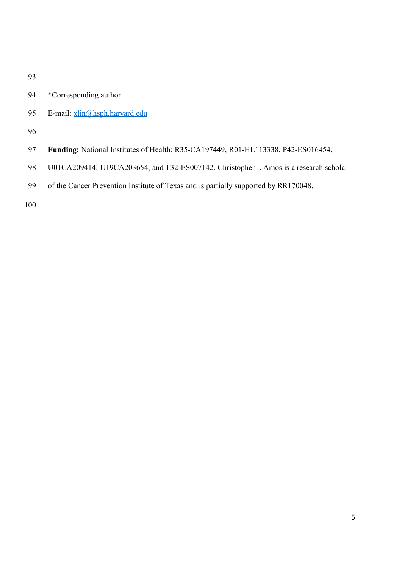- \*Corresponding author
- 95 E-mail: xlin@hsph.harvard.edu
- 
- **Funding:** National Institutes of Health: R35-CA197449, R01-HL113338, P42-ES016454,
- U01CA209414, U19CA203654, and T32-ES007142. Christopher I. Amos is a research scholar
- of the Cancer Prevention Institute of Texas and is partially supported by RR170048.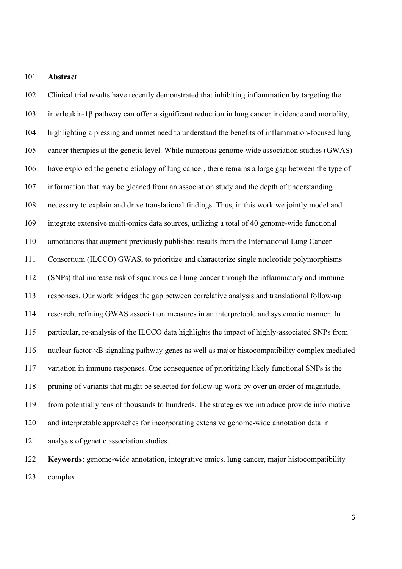#### **Abstract**

 Clinical trial results have recently demonstrated that inhibiting inflammation by targeting the 103 interleukin-1 $\beta$  pathway can offer a significant reduction in lung cancer incidence and mortality, highlighting a pressing and unmet need to understand the benefits of inflammation-focused lung cancer therapies at the genetic level. While numerous genome-wide association studies (GWAS) have explored the genetic etiology of lung cancer, there remains a large gap between the type of information that may be gleaned from an association study and the depth of understanding necessary to explain and drive translational findings. Thus, in this work we jointly model and integrate extensive multi-omics data sources, utilizing a total of 40 genome-wide functional annotations that augment previously published results from the International Lung Cancer Consortium (ILCCO) GWAS, to prioritize and characterize single nucleotide polymorphisms (SNPs) that increase risk of squamous cell lung cancer through the inflammatory and immune responses. Our work bridges the gap between correlative analysis and translational follow-up research, refining GWAS association measures in an interpretable and systematic manner. In particular, re-analysis of the ILCCO data highlights the impact of highly-associated SNPs from nuclear factor-κB signaling pathway genes as well as major histocompatibility complex mediated variation in immune responses. One consequence of prioritizing likely functional SNPs is the pruning of variants that might be selected for follow-up work by over an order of magnitude, from potentially tens of thousands to hundreds. The strategies we introduce provide informative and interpretable approaches for incorporating extensive genome-wide annotation data in analysis of genetic association studies. **Keywords:** genome-wide annotation, integrative omics, lung cancer, major histocompatibility

complex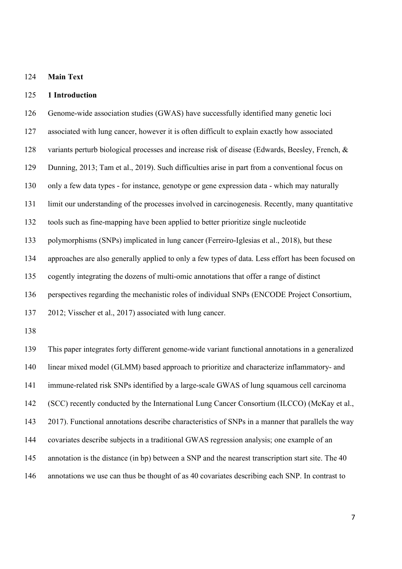## **Main Text**

## **1 Introduction**

 associated with lung cancer, however it is often difficult to explain exactly how associated variants perturb biological processes and increase risk of disease (Edwards, Beesley, French, & Dunning, 2013; Tam et al., 2019). Such difficulties arise in part from a conventional focus on only a few data types - for instance, genotype or gene expression data - which may naturally limit our understanding of the processes involved in carcinogenesis. Recently, many quantitative tools such as fine-mapping have been applied to better prioritize single nucleotide polymorphisms (SNPs) implicated in lung cancer (Ferreiro-Iglesias et al., 2018), but these approaches are also generally applied to only a few types of data. Less effort has been focused on cogently integrating the dozens of multi-omic annotations that offer a range of distinct perspectives regarding the mechanistic roles of individual SNPs (ENCODE Project Consortium, 2012; Visscher et al., 2017) associated with lung cancer. This paper integrates forty different genome-wide variant functional annotations in a generalized linear mixed model (GLMM) based approach to prioritize and characterize inflammatory- and immune-related risk SNPs identified by a large-scale GWAS of lung squamous cell carcinoma (SCC) recently conducted by the International Lung Cancer Consortium (ILCCO) (McKay et al., 2017). Functional annotations describe characteristics of SNPs in a manner that parallels the way covariates describe subjects in a traditional GWAS regression analysis; one example of an annotation is the distance (in bp) between a SNP and the nearest transcription start site. The 40

Genome-wide association studies (GWAS) have successfully identified many genetic loci

annotations we use can thus be thought of as 40 covariates describing each SNP. In contrast to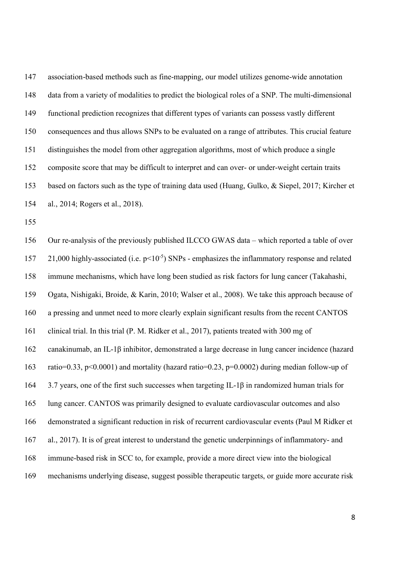association-based methods such as fine-mapping, our model utilizes genome-wide annotation data from a variety of modalities to predict the biological roles of a SNP. The multi-dimensional functional prediction recognizes that different types of variants can possess vastly different consequences and thus allows SNPs to be evaluated on a range of attributes. This crucial feature distinguishes the model from other aggregation algorithms, most of which produce a single composite score that may be difficult to interpret and can over- or under-weight certain traits based on factors such as the type of training data used (Huang, Gulko, & Siepel, 2017; Kircher et al., 2014; Rogers et al., 2018).

 Our re-analysis of the previously published ILCCO GWAS data – which reported a table of over 157 21,000 highly-associated (i.e.  $p<10^{-5}$ ) SNPs - emphasizes the inflammatory response and related immune mechanisms, which have long been studied as risk factors for lung cancer (Takahashi, Ogata, Nishigaki, Broide, & Karin, 2010; Walser et al., 2008). We take this approach because of a pressing and unmet need to more clearly explain significant results from the recent CANTOS clinical trial. In this trial (P. M. Ridker et al., 2017), patients treated with 300 mg of canakinumab, an IL-1β inhibitor, demonstrated a large decrease in lung cancer incidence (hazard ratio=0.33, p<0.0001) and mortality (hazard ratio=0.23, p=0.0002) during median follow-up of 3.7 years, one of the first such successes when targeting IL-1β in randomized human trials for lung cancer. CANTOS was primarily designed to evaluate cardiovascular outcomes and also demonstrated a significant reduction in risk of recurrent cardiovascular events (Paul M Ridker et al., 2017). It is of great interest to understand the genetic underpinnings of inflammatory- and immune-based risk in SCC to, for example, provide a more direct view into the biological mechanisms underlying disease, suggest possible therapeutic targets, or guide more accurate risk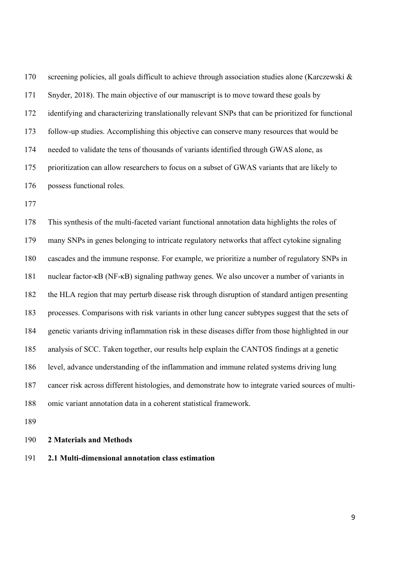screening policies, all goals difficult to achieve through association studies alone (Karczewski & Snyder, 2018). The main objective of our manuscript is to move toward these goals by identifying and characterizing translationally relevant SNPs that can be prioritized for functional follow-up studies. Accomplishing this objective can conserve many resources that would be needed to validate the tens of thousands of variants identified through GWAS alone, as prioritization can allow researchers to focus on a subset of GWAS variants that are likely to possess functional roles.

 This synthesis of the multi-faceted variant functional annotation data highlights the roles of many SNPs in genes belonging to intricate regulatory networks that affect cytokine signaling cascades and the immune response. For example, we prioritize a number of regulatory SNPs in nuclear factor-κB (NF-κB) signaling pathway genes. We also uncover a number of variants in the HLA region that may perturb disease risk through disruption of standard antigen presenting processes. Comparisons with risk variants in other lung cancer subtypes suggest that the sets of genetic variants driving inflammation risk in these diseases differ from those highlighted in our analysis of SCC. Taken together, our results help explain the CANTOS findings at a genetic level, advance understanding of the inflammation and immune related systems driving lung cancer risk across different histologies, and demonstrate how to integrate varied sources of multi-omic variant annotation data in a coherent statistical framework.

# **2 Materials and Methods**

**2.1 Multi-dimensional annotation class estimation**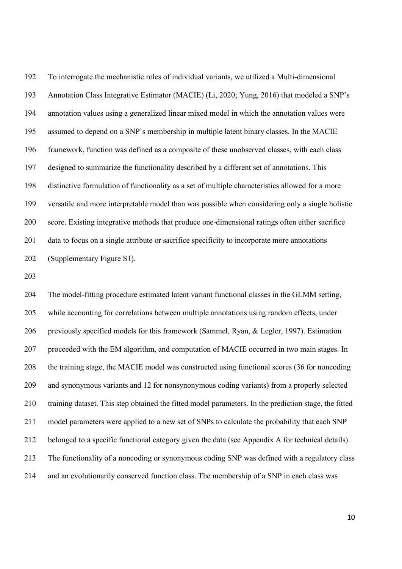To interrogate the mechanistic roles of individual variants, we utilized a Multi-dimensional Annotation Class Integrative Estimator (MACIE) (Li, 2020; Yung, 2016) that modeled a SNP's annotation values using a generalized linear mixed model in which the annotation values were assumed to depend on a SNP's membership in multiple latent binary classes. In the MACIE framework, function was defined as a composite of these unobserved classes, with each class designed to summarize the functionality described by a different set of annotations. This distinctive formulation of functionality as a set of multiple characteristics allowed for a more versatile and more interpretable model than was possible when considering only a single holistic score. Existing integrative methods that produce one-dimensional ratings often either sacrifice data to focus on a single attribute or sacrifice specificity to incorporate more annotations (Supplementary Figure S1).

 The model-fitting procedure estimated latent variant functional classes in the GLMM setting, while accounting for correlations between multiple annotations using random effects, under previously specified models for this framework (Sammel, Ryan, & Legler, 1997). Estimation proceeded with the EM algorithm, and computation of MACIE occurred in two main stages. In the training stage, the MACIE model was constructed using functional scores (36 for noncoding and synonymous variants and 12 for nonsynonymous coding variants) from a properly selected training dataset. This step obtained the fitted model parameters. In the prediction stage, the fitted model parameters were applied to a new set of SNPs to calculate the probability that each SNP belonged to a specific functional category given the data (see Appendix A for technical details). The functionality of a noncoding or synonymous coding SNP was defined with a regulatory class and an evolutionarily conserved function class. The membership of a SNP in each class was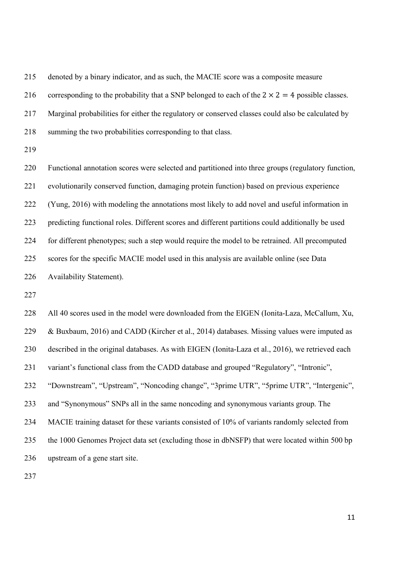denoted by a binary indicator, and as such, the MACIE score was a composite measure

216 corresponding to the probability that a SNP belonged to each of the  $2 \times 2 = 4$  possible classes.

Marginal probabilities for either the regulatory or conserved classes could also be calculated by

summing the two probabilities corresponding to that class.

 Functional annotation scores were selected and partitioned into three groups (regulatory function, evolutionarily conserved function, damaging protein function) based on previous experience (Yung, 2016) with modeling the annotations most likely to add novel and useful information in predicting functional roles. Different scores and different partitions could additionally be used for different phenotypes; such a step would require the model to be retrained. All precomputed scores for the specific MACIE model used in this analysis are available online (see Data Availability Statement).

 All 40 scores used in the model were downloaded from the EIGEN (Ionita-Laza, McCallum, Xu, 229 & Buxbaum, 2016) and CADD (Kircher et al., 2014) databases. Missing values were imputed as described in the original databases. As with EIGEN (Ionita-Laza et al., 2016), we retrieved each variant's functional class from the CADD database and grouped "Regulatory", "Intronic", "Downstream", "Upstream", "Noncoding change", "3prime UTR", "5prime UTR", "Intergenic", and "Synonymous" SNPs all in the same noncoding and synonymous variants group. The MACIE training dataset for these variants consisted of 10% of variants randomly selected from the 1000 Genomes Project data set (excluding those in dbNSFP) that were located within 500 bp upstream of a gene start site.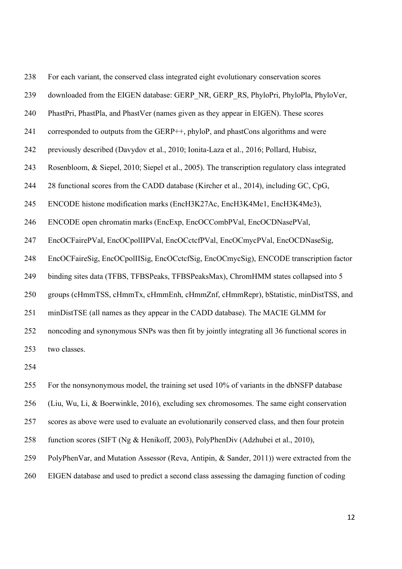| 238 | For each variant, the conserved class integrated eight evolutionary conservation scores         |
|-----|-------------------------------------------------------------------------------------------------|
| 239 | downloaded from the EIGEN database: GERP NR, GERP RS, PhyloPri, PhyloPla, PhyloVer,             |
| 240 | PhastPri, PhastPla, and PhastVer (names given as they appear in EIGEN). These scores            |
| 241 | corresponded to outputs from the GERP++, phyloP, and phastCons algorithms and were              |
| 242 | previously described (Davydov et al., 2010; Ionita-Laza et al., 2016; Pollard, Hubisz,          |
| 243 | Rosenbloom, & Siepel, 2010; Siepel et al., 2005). The transcription regulatory class integrated |
| 244 | 28 functional scores from the CADD database (Kircher et al., 2014), including GC, CpG,          |
| 245 | ENCODE histone modification marks (EncH3K27Ac, EncH3K4Me1, EncH3K4Me3),                         |
| 246 | ENCODE open chromatin marks (EncExp, EncOCCombPVal, EncOCDNasePVal,                             |
| 247 | EncOCFairePVal, EncOCpolIIPVal, EncOCctcfPVal, EncOCmycPVal, EncOCDNaseSig,                     |
| 248 | EncOCFaireSig, EncOCpolIISig, EncOCctcfSig, EncOCmycSig), ENCODE transcription factor           |
| 249 | binding sites data (TFBS, TFBSPeaks, TFBSPeaksMax), ChromHMM states collapsed into 5            |
| 250 | groups (cHmmTSS, cHmmTx, cHmmEnh, cHmmZnf, cHmmRepr), bStatistic, minDistTSS, and               |
| 251 | minDistTSE (all names as they appear in the CADD database). The MACIE GLMM for                  |
| 252 | noncoding and synonymous SNPs was then fit by jointly integrating all 36 functional scores in   |
| 253 | two classes.                                                                                    |
| 254 |                                                                                                 |

 For the nonsynonymous model, the training set used 10% of variants in the dbNSFP database (Liu, Wu, Li, & Boerwinkle, 2016), excluding sex chromosomes. The same eight conservation scores as above were used to evaluate an evolutionarily conserved class, and then four protein function scores (SIFT (Ng & Henikoff, 2003), PolyPhenDiv (Adzhubei et al., 2010), PolyPhenVar, and Mutation Assessor (Reva, Antipin, & Sander, 2011)) were extracted from the EIGEN database and used to predict a second class assessing the damaging function of coding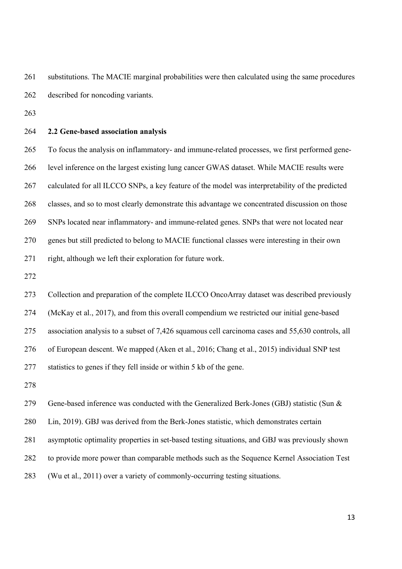substitutions. The MACIE marginal probabilities were then calculated using the same procedures described for noncoding variants.

# **2.2 Gene-based association analysis**

 To focus the analysis on inflammatory- and immune-related processes, we first performed gene- level inference on the largest existing lung cancer GWAS dataset. While MACIE results were calculated for all ILCCO SNPs, a key feature of the model was interpretability of the predicted classes, and so to most clearly demonstrate this advantage we concentrated discussion on those SNPs located near inflammatory- and immune-related genes. SNPs that were not located near genes but still predicted to belong to MACIE functional classes were interesting in their own right, although we left their exploration for future work.

 Collection and preparation of the complete ILCCO OncoArray dataset was described previously (McKay et al., 2017), and from this overall compendium we restricted our initial gene-based association analysis to a subset of 7,426 squamous cell carcinoma cases and 55,630 controls, all of European descent. We mapped (Aken et al., 2016; Chang et al., 2015) individual SNP test statistics to genes if they fell inside or within 5 kb of the gene.

 Gene-based inference was conducted with the Generalized Berk-Jones (GBJ) statistic (Sun & Lin, 2019). GBJ was derived from the Berk-Jones statistic, which demonstrates certain asymptotic optimality properties in set-based testing situations, and GBJ was previously shown to provide more power than comparable methods such as the Sequence Kernel Association Test (Wu et al., 2011) over a variety of commonly-occurring testing situations.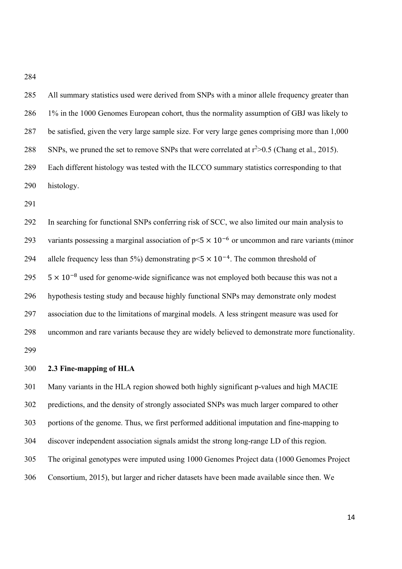| 285 | All summary statistics used were derived from SNPs with a minor allele frequency greater than    |
|-----|--------------------------------------------------------------------------------------------------|
| 286 | 1% in the 1000 Genomes European cohort, thus the normality assumption of GBJ was likely to       |
| 287 | be satisfied, given the very large sample size. For very large genes comprising more than 1,000  |
| 288 | SNPs, we pruned the set to remove SNPs that were correlated at $r^2 > 0.5$ (Chang et al., 2015). |
| 289 | Each different histology was tested with the ILCCO summary statistics corresponding to that      |
| 290 | histology.                                                                                       |
| 291 |                                                                                                  |
| 292 | In searching for functional SNPs conferring risk of SCC, we also limited our main analysis to    |

293 variants possessing a marginal association of  $p \le 5 \times 10^{-6}$  or uncommon and rare variants (minor 294 allele frequency less than 5%) demonstrating  $p \le 5 \times 10^{-4}$ . The common threshold of  $5 \times 10^{-8}$  used for genome-wide significance was not employed both because this was not a hypothesis testing study and because highly functional SNPs may demonstrate only modest association due to the limitations of marginal models. A less stringent measure was used for uncommon and rare variants because they are widely believed to demonstrate more functionality. 

# **2.3 Fine-mapping of HLA**

 Many variants in the HLA region showed both highly significant p-values and high MACIE predictions, and the density of strongly associated SNPs was much larger compared to other portions of the genome. Thus, we first performed additional imputation and fine-mapping to discover independent association signals amidst the strong long-range LD of this region. The original genotypes were imputed using 1000 Genomes Project data (1000 Genomes Project Consortium, 2015), but larger and richer datasets have been made available since then. We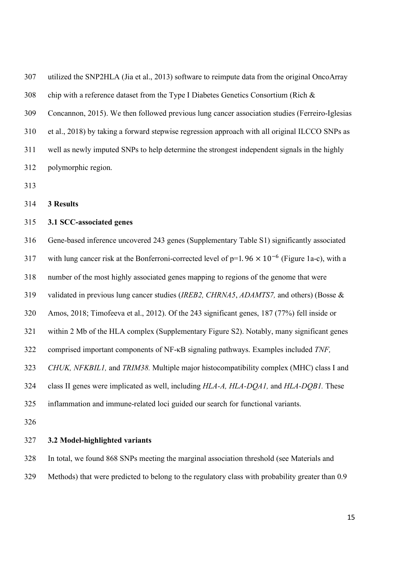utilized the SNP2HLA (Jia et al., 2013) software to reimpute data from the original OncoArray 308 chip with a reference dataset from the Type I Diabetes Genetics Consortium (Rich  $\&$  Concannon, 2015). We then followed previous lung cancer association studies (Ferreiro-Iglesias et al., 2018) by taking a forward stepwise regression approach with all original ILCCO SNPs as well as newly imputed SNPs to help determine the strongest independent signals in the highly polymorphic region.

**3 Results**

# **3.1 SCC-associated genes**

 Gene-based inference uncovered 243 genes (Supplementary Table S1) significantly associated 317 with lung cancer risk at the Bonferroni-corrected level of  $p=1.96 \times 10^{-6}$  (Figure 1a-c), with a number of the most highly associated genes mapping to regions of the genome that were validated in previous lung cancer studies (*IREB2, CHRNA5*, *ADAMTS7,* and others) (Bosse & Amos, 2018; Timofeeva et al., 2012). Of the 243 significant genes, 187 (77%) fell inside or within 2 Mb of the HLA complex (Supplementary Figure S2). Notably, many significant genes comprised important components of NF-κB signaling pathways. Examples included *TNF, CHUK, NFKBIL1,* and *TRIM38.* Multiple major histocompatibility complex (MHC) class I and class II genes were implicated as well, including *HLA-A, HLA-DQA1,* and *HLA-DQB1.* These inflammation and immune-related loci guided our search for functional variants. **3.2 Model-highlighted variants**

 In total, we found 868 SNPs meeting the marginal association threshold (see Materials and Methods) that were predicted to belong to the regulatory class with probability greater than 0.9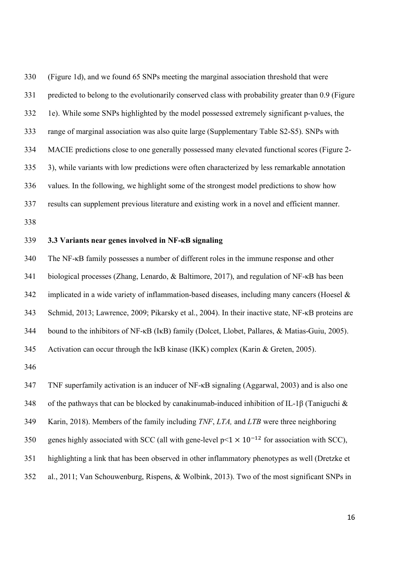(Figure 1d), and we found 65 SNPs meeting the marginal association threshold that were predicted to belong to the evolutionarily conserved class with probability greater than 0.9 (Figure 1e). While some SNPs highlighted by the model possessed extremely significant p-values, the range of marginal association was also quite large (Supplementary Table S2-S5). SNPs with MACIE predictions close to one generally possessed many elevated functional scores (Figure 2- 3), while variants with low predictions were often characterized by less remarkable annotation values. In the following, we highlight some of the strongest model predictions to show how results can supplement previous literature and existing work in a novel and efficient manner. 

# **3.3 Variants near genes involved in NF-κB signaling**

 The NF-κB family possesses a number of different roles in the immune response and other biological processes (Zhang, Lenardo, & Baltimore, 2017), and regulation of NF-κB has been 342 implicated in a wide variety of inflammation-based diseases, including many cancers (Hoesel  $\&$  Schmid, 2013; Lawrence, 2009; Pikarsky et al., 2004). In their inactive state, NF-κB proteins are bound to the inhibitors of NF-κB (IκB) family (Dolcet, Llobet, Pallares, & Matias-Guiu, 2005). 345 Activation can occur through the IKB kinase (IKK) complex (Karin & Greten, 2005). 

TNF superfamily activation is an inducer of NF-κB signaling (Aggarwal, 2003) and is also one

of the pathways that can be blocked by canakinumab-induced inhibition of IL-1β (Taniguchi &

Karin, 2018). Members of the family including *TNF*, *LTA,* and *LTB* were three neighboring

350 genes highly associated with SCC (all with gene-level  $p<1 \times 10^{-12}$  for association with SCC),

highlighting a link that has been observed in other inflammatory phenotypes as well (Dretzke et

al., 2011; Van Schouwenburg, Rispens, & Wolbink, 2013). Two of the most significant SNPs in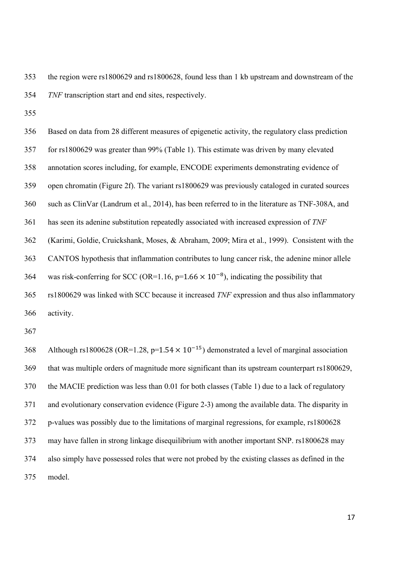the region were rs1800629 and rs1800628, found less than 1 kb upstream and downstream of the *TNF* transcription start and end sites, respectively.

 Based on data from 28 different measures of epigenetic activity, the regulatory class prediction for rs1800629 was greater than 99% (Table 1). This estimate was driven by many elevated annotation scores including, for example, ENCODE experiments demonstrating evidence of open chromatin (Figure 2f). The variant rs1800629 was previously cataloged in curated sources such as ClinVar (Landrum et al., 2014), has been referred to in the literature as TNF-308A, and has seen its adenine substitution repeatedly associated with increased expression of *TNF* (Karimi, Goldie, Cruickshank, Moses, & Abraham, 2009; Mira et al., 1999). Consistent with the CANTOS hypothesis that inflammation contributes to lung cancer risk, the adenine minor allele 364 was risk-conferring for SCC (OR=1.16,  $p=1.66 \times 10^{-8}$ ), indicating the possibility that rs1800629 was linked with SCC because it increased *TNF* expression and thus also inflammatory activity.

368 Although rs1800628 (OR=1.28, p=1.54  $\times$  10<sup>-15</sup>) demonstrated a level of marginal association that was multiple orders of magnitude more significant than its upstream counterpart rs1800629, the MACIE prediction was less than 0.01 for both classes (Table 1) due to a lack of regulatory and evolutionary conservation evidence (Figure 2-3) among the available data. The disparity in p-values was possibly due to the limitations of marginal regressions, for example, rs1800628 may have fallen in strong linkage disequilibrium with another important SNP. rs1800628 may also simply have possessed roles that were not probed by the existing classes as defined in the model.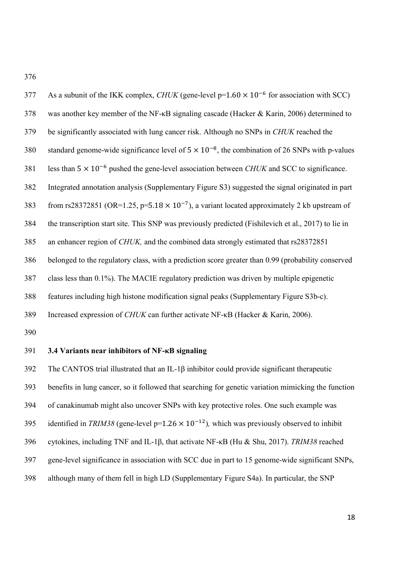As a subunit of the IKK complex, *CHUK* (gene-level  $p=1.60 \times 10^{-6}$  for association with SCC) was another key member of the NF-κB signaling cascade (Hacker & Karin, 2006) determined to be significantly associated with lung cancer risk. Although no SNPs in *CHUK* reached the 380 standard genome-wide significance level of  $5 \times 10^{-8}$ , the combination of 26 SNPs with p-values 1881 less than  $5 \times 10^{-6}$  pushed the gene-level association between *CHUK* and SCC to significance. Integrated annotation analysis (Supplementary Figure S3) suggested the signal originated in part 383 from rs28372851 (OR=1.25, p=5.18  $\times$  10<sup>-7</sup>), a variant located approximately 2 kb upstream of the transcription start site. This SNP was previously predicted (Fishilevich et al., 2017) to lie in an enhancer region of *CHUK,* and the combined data strongly estimated that rs28372851 belonged to the regulatory class, with a prediction score greater than 0.99 (probability conserved class less than 0.1%). The MACIE regulatory prediction was driven by multiple epigenetic features including high histone modification signal peaks (Supplementary Figure S3b-c). Increased expression of *CHUK* can further activate NF-κB (Hacker & Karin, 2006). 

# **3.4 Variants near inhibitors of NF-κB signaling**

 The CANTOS trial illustrated that an IL-1β inhibitor could provide significant therapeutic benefits in lung cancer, so it followed that searching for genetic variation mimicking the function of canakinumab might also uncover SNPs with key protective roles. One such example was 395 identified in *TRIM38* (gene-level  $p=1.26 \times 10^{-12}$ ), which was previously observed to inhibit cytokines, including TNF and IL-1β, that activate NF-κB (Hu & Shu, 2017). *TRIM38* reached gene-level significance in association with SCC due in part to 15 genome-wide significant SNPs, although many of them fell in high LD (Supplementary Figure S4a). In particular, the SNP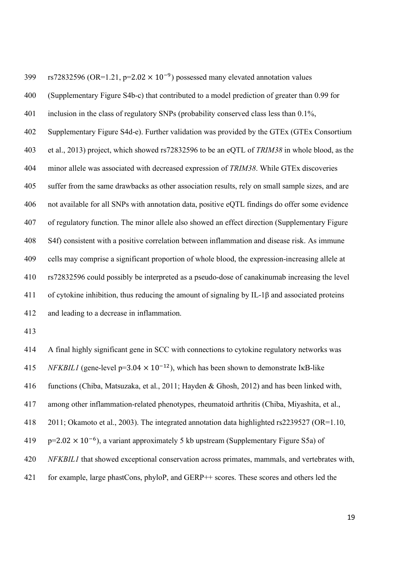399 rs72832596 (OR=1.21, p=2.02  $\times$  10<sup>-9</sup>) possessed many elevated annotation values (Supplementary Figure S4b-c) that contributed to a model prediction of greater than 0.99 for inclusion in the class of regulatory SNPs (probability conserved class less than 0.1%, Supplementary Figure S4d-e). Further validation was provided by the GTEx (GTEx Consortium et al., 2013) project, which showed rs72832596 to be an eQTL of *TRIM38* in whole blood, as the minor allele was associated with decreased expression of *TRIM38*. While GTEx discoveries suffer from the same drawbacks as other association results, rely on small sample sizes, and are not available for all SNPs with annotation data, positive eQTL findings do offer some evidence of regulatory function. The minor allele also showed an effect direction (Supplementary Figure S4f) consistent with a positive correlation between inflammation and disease risk. As immune cells may comprise a significant proportion of whole blood, the expression-increasing allele at rs72832596 could possibly be interpreted as a pseudo-dose of canakinumab increasing the level of cytokine inhibition, thus reducing the amount of signaling by IL-1β and associated proteins and leading to a decrease in inflammation.

 A final highly significant gene in SCC with connections to cytokine regulatory networks was *A15 NFKBIL1* (gene-level p=3.04  $\times$  10<sup>-12</sup>), which has been shown to demonstrate IkB-like functions (Chiba, Matsuzaka, et al., 2011; Hayden & Ghosh, 2012) and has been linked with, among other inflammation-related phenotypes, rheumatoid arthritis (Chiba, Miyashita, et al., 2011; Okamoto et al., 2003). The integrated annotation data highlighted rs2239527 (OR=1.10,  $p=2.02 \times 10^{-6}$ ), a variant approximately 5 kb upstream (Supplementary Figure S5a) of *NFKBIL1* that showed exceptional conservation across primates, mammals, and vertebrates with, for example, large phastCons, phyloP, and GERP++ scores. These scores and others led the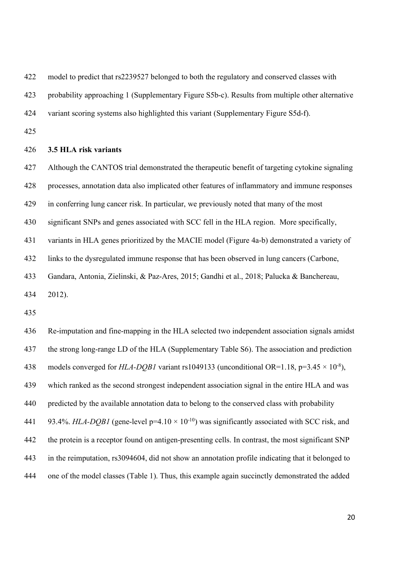model to predict that rs2239527 belonged to both the regulatory and conserved classes with

probability approaching 1 (Supplementary Figure S5b-c). Results from multiple other alternative

variant scoring systems also highlighted this variant (Supplementary Figure S5d-f).

## **3.5 HLA risk variants**

 Although the CANTOS trial demonstrated the therapeutic benefit of targeting cytokine signaling processes, annotation data also implicated other features of inflammatory and immune responses in conferring lung cancer risk. In particular, we previously noted that many of the most significant SNPs and genes associated with SCC fell in the HLA region. More specifically, variants in HLA genes prioritized by the MACIE model (Figure 4a-b) demonstrated a variety of links to the dysregulated immune response that has been observed in lung cancers (Carbone, Gandara, Antonia, Zielinski, & Paz-Ares, 2015; Gandhi et al., 2018; Palucka & Banchereau,

2012).

 Re-imputation and fine-mapping in the HLA selected two independent association signals amidst the strong long-range LD of the HLA (Supplementary Table S6). The association and prediction 438 models converged for *HLA-DOB1* variant rs1049133 (unconditional OR=1.18, p=3.45  $\times$  10<sup>-8</sup>), which ranked as the second strongest independent association signal in the entire HLA and was predicted by the available annotation data to belong to the conserved class with probability 441 93.4%. *HLA-DQB1* (gene-level  $p=4.10 \times 10^{-10}$ ) was significantly associated with SCC risk, and the protein is a receptor found on antigen-presenting cells. In contrast, the most significant SNP in the reimputation, rs3094604, did not show an annotation profile indicating that it belonged to one of the model classes (Table 1). Thus, this example again succinctly demonstrated the added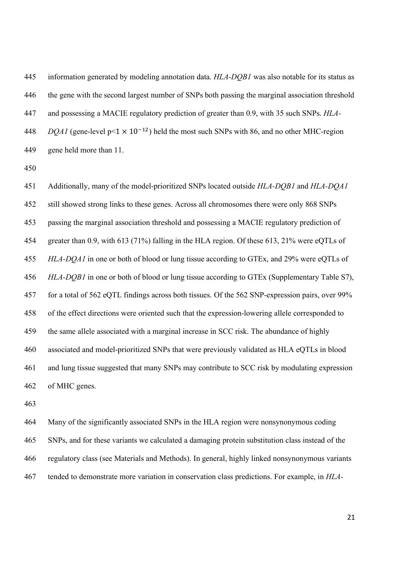information generated by modeling annotation data. *HLA-DQB1* was also notable for its status as the gene with the second largest number of SNPs both passing the marginal association threshold and possessing a MACIE regulatory prediction of greater than 0.9, with 35 such SNPs. *HLA-DQA1* (gene-level  $p \le 1 \times 10^{-12}$ ) held the most such SNPs with 86, and no other MHC-region gene held more than 11.

 Additionally, many of the model-prioritized SNPs located outside *HLA-DQB1* and *HLA-DQA1*  still showed strong links to these genes. Across all chromosomes there were only 868 SNPs passing the marginal association threshold and possessing a MACIE regulatory prediction of greater than 0.9, with 613 (71%) falling in the HLA region. Of these 613, 21% were eQTLs of *HLA-DQA1* in one or both of blood or lung tissue according to GTEx, and 29% were eQTLs of *HLA-DQB1* in one or both of blood or lung tissue according to GTEx (Supplementary Table S7), for a total of 562 eQTL findings across both tissues. Of the 562 SNP-expression pairs, over 99% of the effect directions were oriented such that the expression-lowering allele corresponded to the same allele associated with a marginal increase in SCC risk. The abundance of highly associated and model-prioritized SNPs that were previously validated as HLA eQTLs in blood and lung tissue suggested that many SNPs may contribute to SCC risk by modulating expression of MHC genes.

 Many of the significantly associated SNPs in the HLA region were nonsynonymous coding SNPs, and for these variants we calculated a damaging protein substitution class instead of the regulatory class (see Materials and Methods). In general, highly linked nonsynonymous variants tended to demonstrate more variation in conservation class predictions. For example, in *HLA-*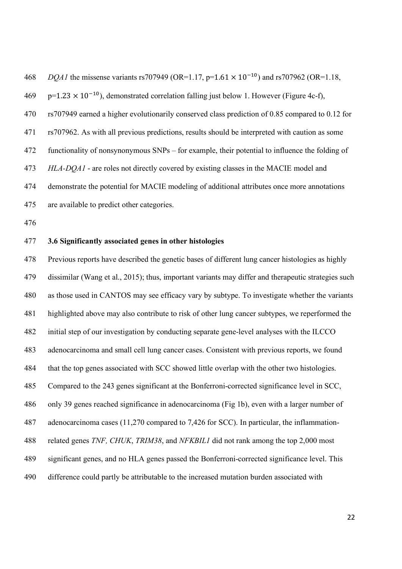*DQA1* the missense variants rs707949 (OR=1.17, p=1.61  $\times$  10<sup>-10</sup>) and rs707962 (OR=1.18,  $p=1.23 \times 10^{-10}$ ), demonstrated correlation falling just below 1. However (Figure 4c-f), rs707949 earned a higher evolutionarily conserved class prediction of 0.85 compared to 0.12 for rs707962. As with all previous predictions, results should be interpreted with caution as some functionality of nonsynonymous SNPs – for example, their potential to influence the folding of *HLA-DQA1* - are roles not directly covered by existing classes in the MACIE model and demonstrate the potential for MACIE modeling of additional attributes once more annotations are available to predict other categories.

# **3.6 Significantly associated genes in other histologies**

 Previous reports have described the genetic bases of different lung cancer histologies as highly dissimilar (Wang et al., 2015); thus, important variants may differ and therapeutic strategies such as those used in CANTOS may see efficacy vary by subtype. To investigate whether the variants highlighted above may also contribute to risk of other lung cancer subtypes, we reperformed the initial step of our investigation by conducting separate gene-level analyses with the ILCCO adenocarcinoma and small cell lung cancer cases. Consistent with previous reports, we found that the top genes associated with SCC showed little overlap with the other two histologies. Compared to the 243 genes significant at the Bonferroni-corrected significance level in SCC, only 39 genes reached significance in adenocarcinoma (Fig 1b), even with a larger number of adenocarcinoma cases (11,270 compared to 7,426 for SCC). In particular, the inflammation- related genes *TNF, CHUK*, *TRIM38*, and *NFKBIL1* did not rank among the top 2,000 most significant genes, and no HLA genes passed the Bonferroni-corrected significance level. This difference could partly be attributable to the increased mutation burden associated with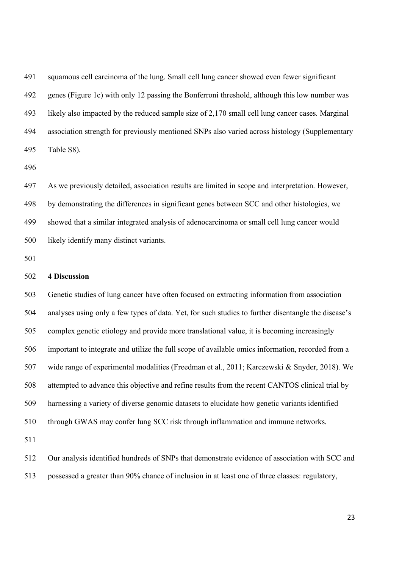squamous cell carcinoma of the lung. Small cell lung cancer showed even fewer significant genes (Figure 1c) with only 12 passing the Bonferroni threshold, although this low number was likely also impacted by the reduced sample size of 2,170 small cell lung cancer cases. Marginal association strength for previously mentioned SNPs also varied across histology (Supplementary Table S8).

 As we previously detailed, association results are limited in scope and interpretation. However, by demonstrating the differences in significant genes between SCC and other histologies, we showed that a similar integrated analysis of adenocarcinoma or small cell lung cancer would likely identify many distinct variants.

## **4 Discussion**

 Genetic studies of lung cancer have often focused on extracting information from association analyses using only a few types of data. Yet, for such studies to further disentangle the disease's complex genetic etiology and provide more translational value, it is becoming increasingly important to integrate and utilize the full scope of available omics information, recorded from a wide range of experimental modalities (Freedman et al., 2011; Karczewski & Snyder, 2018). We attempted to advance this objective and refine results from the recent CANTOS clinical trial by harnessing a variety of diverse genomic datasets to elucidate how genetic variants identified through GWAS may confer lung SCC risk through inflammation and immune networks. 

 Our analysis identified hundreds of SNPs that demonstrate evidence of association with SCC and possessed a greater than 90% chance of inclusion in at least one of three classes: regulatory,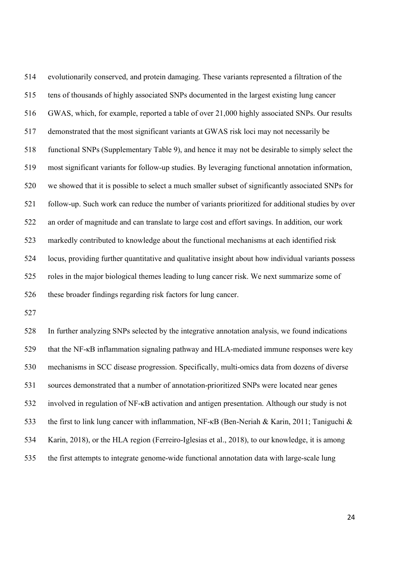evolutionarily conserved, and protein damaging. These variants represented a filtration of the tens of thousands of highly associated SNPs documented in the largest existing lung cancer GWAS, which, for example, reported a table of over 21,000 highly associated SNPs. Our results demonstrated that the most significant variants at GWAS risk loci may not necessarily be functional SNPs (Supplementary Table 9), and hence it may not be desirable to simply select the most significant variants for follow-up studies. By leveraging functional annotation information, we showed that it is possible to select a much smaller subset of significantly associated SNPs for follow-up. Such work can reduce the number of variants prioritized for additional studies by over an order of magnitude and can translate to large cost and effort savings. In addition, our work markedly contributed to knowledge about the functional mechanisms at each identified risk locus, providing further quantitative and qualitative insight about how individual variants possess roles in the major biological themes leading to lung cancer risk. We next summarize some of these broader findings regarding risk factors for lung cancer.

 In further analyzing SNPs selected by the integrative annotation analysis, we found indications that the NF-κB inflammation signaling pathway and HLA-mediated immune responses were key mechanisms in SCC disease progression. Specifically, multi-omics data from dozens of diverse sources demonstrated that a number of annotation-prioritized SNPs were located near genes involved in regulation of NF-κB activation and antigen presentation. Although our study is not the first to link lung cancer with inflammation, NF-κB (Ben-Neriah & Karin, 2011; Taniguchi & Karin, 2018), or the HLA region (Ferreiro-Iglesias et al., 2018), to our knowledge, it is among the first attempts to integrate genome-wide functional annotation data with large-scale lung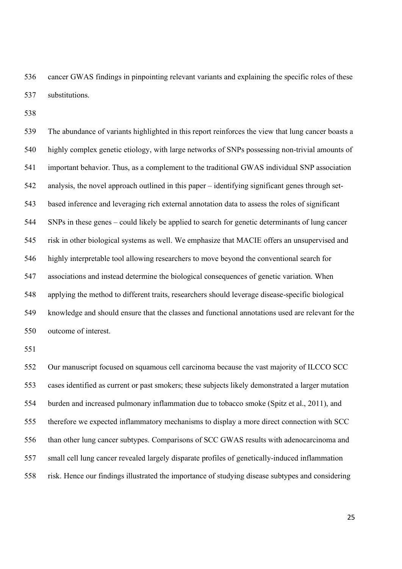cancer GWAS findings in pinpointing relevant variants and explaining the specific roles of these substitutions.

 The abundance of variants highlighted in this report reinforces the view that lung cancer boasts a highly complex genetic etiology, with large networks of SNPs possessing non-trivial amounts of important behavior. Thus, as a complement to the traditional GWAS individual SNP association analysis, the novel approach outlined in this paper – identifying significant genes through set- based inference and leveraging rich external annotation data to assess the roles of significant SNPs in these genes – could likely be applied to search for genetic determinants of lung cancer risk in other biological systems as well. We emphasize that MACIE offers an unsupervised and highly interpretable tool allowing researchers to move beyond the conventional search for associations and instead determine the biological consequences of genetic variation. When applying the method to different traits, researchers should leverage disease-specific biological knowledge and should ensure that the classes and functional annotations used are relevant for the outcome of interest.

 Our manuscript focused on squamous cell carcinoma because the vast majority of ILCCO SCC cases identified as current or past smokers; these subjects likely demonstrated a larger mutation burden and increased pulmonary inflammation due to tobacco smoke (Spitz et al., 2011), and therefore we expected inflammatory mechanisms to display a more direct connection with SCC than other lung cancer subtypes. Comparisons of SCC GWAS results with adenocarcinoma and small cell lung cancer revealed largely disparate profiles of genetically-induced inflammation risk. Hence our findings illustrated the importance of studying disease subtypes and considering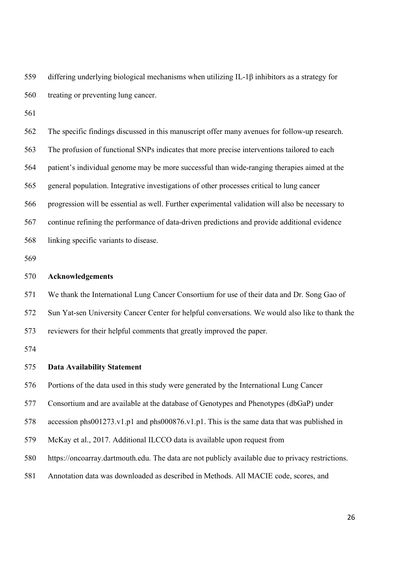differing underlying biological mechanisms when utilizing IL-1β inhibitors as a strategy for treating or preventing lung cancer.

 The specific findings discussed in this manuscript offer many avenues for follow-up research. The profusion of functional SNPs indicates that more precise interventions tailored to each patient's individual genome may be more successful than wide-ranging therapies aimed at the general population. Integrative investigations of other processes critical to lung cancer progression will be essential as well. Further experimental validation will also be necessary to continue refining the performance of data-driven predictions and provide additional evidence linking specific variants to disease.

# **Acknowledgements**

We thank the International Lung Cancer Consortium for use of their data and Dr. Song Gao of

Sun Yat-sen University Cancer Center for helpful conversations. We would also like to thank the

reviewers for their helpful comments that greatly improved the paper.

## **Data Availability Statement**

Portions of the data used in this study were generated by the International Lung Cancer

Consortium and are available at the database of Genotypes and Phenotypes (dbGaP) under

accession phs001273.v1.p1 and phs000876.v1.p1. This is the same data that was published in

McKay et al., 2017. Additional ILCCO data is available upon request from

https://oncoarray.dartmouth.edu. The data are not publicly available due to privacy restrictions.

Annotation data was downloaded as described in Methods. All MACIE code, scores, and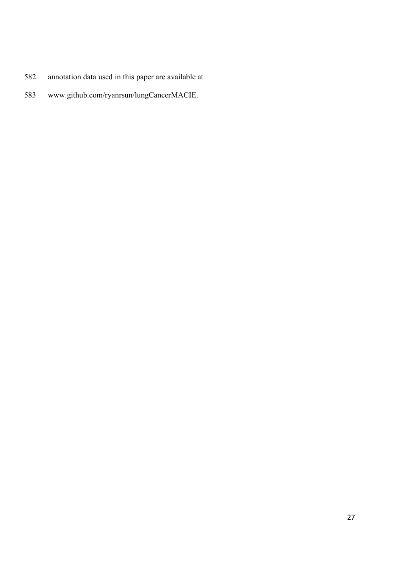- annotation data used in this paper are available at
- www.github.com/ryanrsun/lungCancerMACIE.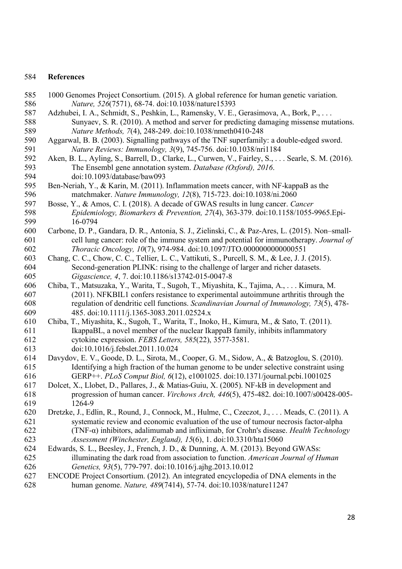## **References**

- 1000 Genomes Project Consortium. (2015). A global reference for human genetic variation. *Nature, 526*(7571), 68-74. doi:10.1038/nature15393
- Adzhubei, I. A., Schmidt, S., Peshkin, L., Ramensky, V. E., Gerasimova, A., Bork, P., . . . Sunyaev, S. R. (2010). A method and server for predicting damaging missense mutations. *Nature Methods, 7*(4), 248-249. doi:10.1038/nmeth0410-248
- Aggarwal, B. B. (2003). Signalling pathways of the TNF superfamily: a double-edged sword. *Nature Reviews: Immunology, 3*(9), 745-756. doi:10.1038/nri1184
- Aken, B. L., Ayling, S., Barrell, D., Clarke, L., Curwen, V., Fairley, S., . . . Searle, S. M. (2016). The Ensembl gene annotation system. *Database (Oxford), 2016*. doi:10.1093/database/baw093
- Ben-Neriah, Y., & Karin, M. (2011). Inflammation meets cancer, with NF-kappaB as the matchmaker. *Nature Immunology, 12*(8), 715-723. doi:10.1038/ni.2060
- Bosse, Y., & Amos, C. I. (2018). A decade of GWAS results in lung cancer. *Cancer Epidemiology, Biomarkers & Prevention, 27*(4), 363-379. doi:10.1158/1055-9965.Epi-16-0794
- Carbone, D. P., Gandara, D. R., Antonia, S. J., Zielinski, C., & Paz-Ares, L. (2015). Non–small- cell lung cancer: role of the immune system and potential for immunotherapy. *Journal of Thoracic Oncology, 10*(7), 974-984. doi:10.1097/JTO.0000000000000551
- Chang, C. C., Chow, C. C., Tellier, L. C., Vattikuti, S., Purcell, S. M., & Lee, J. J. (2015). Second-generation PLINK: rising to the challenge of larger and richer datasets. *Gigascience, 4*, 7. doi:10.1186/s13742-015-0047-8
- Chiba, T., Matsuzaka, Y., Warita, T., Sugoh, T., Miyashita, K., Tajima, A., . . . Kimura, M. (2011). NFKBIL1 confers resistance to experimental autoimmune arthritis through the regulation of dendritic cell functions. *Scandinavian Journal of Immunology, 73*(5), 478- 485. doi:10.1111/j.1365-3083.2011.02524.x
- Chiba, T., Miyashita, K., Sugoh, T., Warita, T., Inoko, H., Kimura, M., & Sato, T. (2011). IkappaBL, a novel member of the nuclear IkappaB family, inhibits inflammatory cytokine expression. *FEBS Letters, 585*(22), 3577-3581. doi:10.1016/j.febslet.2011.10.024
- Davydov, E. V., Goode, D. L., Sirota, M., Cooper, G. M., Sidow, A., & Batzoglou, S. (2010). Identifying a high fraction of the human genome to be under selective constraint using GERP++. *PLoS Comput Biol, 6*(12), e1001025. doi:10.1371/journal.pcbi.1001025
- Dolcet, X., Llobet, D., Pallares, J., & Matias-Guiu, X. (2005). NF-kB in development and progression of human cancer. *Virchows Arch, 446*(5), 475-482. doi:10.1007/s00428-005- 1264-9
- Dretzke, J., Edlin, R., Round, J., Connock, M., Hulme, C., Czeczot, J., . . . Meads, C. (2011). A systematic review and economic evaluation of the use of tumour necrosis factor-alpha (TNF-α) inhibitors, adalimumab and infliximab, for Crohn's disease. *Health Technology Assessment (Winchester, England), 15*(6), 1. doi:10.3310/hta15060
- Edwards, S. L., Beesley, J., French, J. D., & Dunning, A. M. (2013). Beyond GWASs: illuminating the dark road from association to function. *American Journal of Human Genetics, 93*(5), 779-797. doi:10.1016/j.ajhg.2013.10.012
- ENCODE Project Consortium. (2012). An integrated encyclopedia of DNA elements in the human genome. *Nature, 489*(7414), 57-74. doi:10.1038/nature11247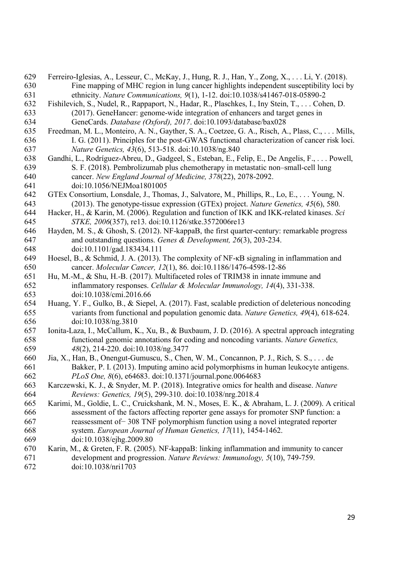- Ferreiro-Iglesias, A., Lesseur, C., McKay, J., Hung, R. J., Han, Y., Zong, X., . . . Li, Y. (2018). Fine mapping of MHC region in lung cancer highlights independent susceptibility loci by ethnicity. *Nature Communications, 9*(1), 1-12. doi:10.1038/s41467-018-05890-2
- Fishilevich, S., Nudel, R., Rappaport, N., Hadar, R., Plaschkes, I., Iny Stein, T., . . . Cohen, D. (2017). GeneHancer: genome-wide integration of enhancers and target genes in GeneCards. *Database (Oxford), 2017*. doi:10.1093/database/bax028
- Freedman, M. L., Monteiro, A. N., Gayther, S. A., Coetzee, G. A., Risch, A., Plass, C., . . . Mills, I. G. (2011). Principles for the post-GWAS functional characterization of cancer risk loci. *Nature Genetics, 43*(6), 513-518. doi:10.1038/ng.840
- Gandhi, L., Rodríguez-Abreu, D., Gadgeel, S., Esteban, E., Felip, E., De Angelis, F., . . . Powell, S. F. (2018). Pembrolizumab plus chemotherapy in metastatic non–small-cell lung cancer. *New England Journal of Medicine, 378*(22), 2078-2092. doi:10.1056/NEJMoa1801005
- GTEx Consortium, Lonsdale, J., Thomas, J., Salvatore, M., Phillips, R., Lo, E., . . . Young, N. (2013). The genotype-tissue expression (GTEx) project. *Nature Genetics, 45*(6), 580.
- Hacker, H., & Karin, M. (2006). Regulation and function of IKK and IKK-related kinases. *Sci STKE, 2006*(357), re13. doi:10.1126/stke.3572006re13
- Hayden, M. S., & Ghosh, S. (2012). NF-kappaB, the first quarter-century: remarkable progress and outstanding questions. *Genes & Development, 26*(3), 203-234. doi:10.1101/gad.183434.111
- Hoesel, B., & Schmid, J. A. (2013). The complexity of NF-κB signaling in inflammation and cancer. *Molecular Cancer, 12*(1), 86. doi:10.1186/1476-4598-12-86
- Hu, M.-M., & Shu, H.-B. (2017). Multifaceted roles of TRIM38 in innate immune and inflammatory responses. *Cellular & Molecular Immunology, 14*(4), 331-338. doi:10.1038/cmi.2016.66
- Huang, Y. F., Gulko, B., & Siepel, A. (2017). Fast, scalable prediction of deleterious noncoding variants from functional and population genomic data. *Nature Genetics, 49*(4), 618-624. doi:10.1038/ng.3810
- Ionita-Laza, I., McCallum, K., Xu, B., & Buxbaum, J. D. (2016). A spectral approach integrating functional genomic annotations for coding and noncoding variants. *Nature Genetics, 48*(2), 214-220. doi:10.1038/ng.3477
- Jia, X., Han, B., Onengut-Gumuscu, S., Chen, W. M., Concannon, P. J., Rich, S. S., . . . de Bakker, P. I. (2013). Imputing amino acid polymorphisms in human leukocyte antigens. *PLoS One, 8*(6), e64683. doi:10.1371/journal.pone.0064683
- Karczewski, K. J., & Snyder, M. P. (2018). Integrative omics for health and disease. *Nature Reviews: Genetics, 19*(5), 299-310. doi:10.1038/nrg.2018.4
- Karimi, M., Goldie, L. C., Cruickshank, M. N., Moses, E. K., & Abraham, L. J. (2009). A critical assessment of the factors affecting reporter gene assays for promoter SNP function: a reassessment of− 308 TNF polymorphism function using a novel integrated reporter system. *European Journal of Human Genetics, 17*(11), 1454-1462.
- doi:10.1038/ejhg.2009.80
- Karin, M., & Greten, F. R. (2005). NF-kappaB: linking inflammation and immunity to cancer development and progression. *Nature Reviews: Immunology, 5*(10), 749-759. doi:10.1038/nri1703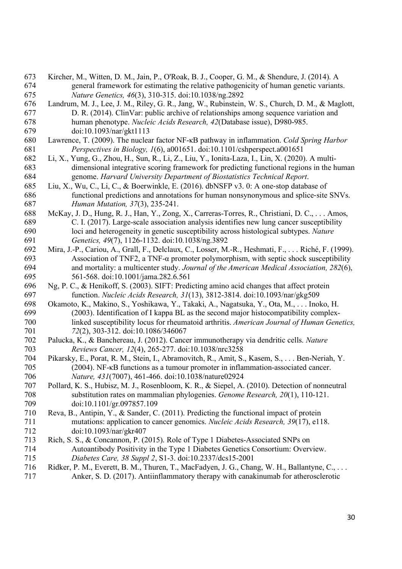- Kircher, M., Witten, D. M., Jain, P., O'Roak, B. J., Cooper, G. M., & Shendure, J. (2014). A general framework for estimating the relative pathogenicity of human genetic variants. *Nature Genetics, 46*(3), 310-315. doi:10.1038/ng.2892
- Landrum, M. J., Lee, J. M., Riley, G. R., Jang, W., Rubinstein, W. S., Church, D. M., & Maglott, D. R. (2014). ClinVar: public archive of relationships among sequence variation and human phenotype. *Nucleic Acids Research, 42*(Database issue), D980-985. doi:10.1093/nar/gkt1113
- Lawrence, T. (2009). The nuclear factor NF-κB pathway in inflammation. *Cold Spring Harbor Perspectives in Biology, 1*(6), a001651. doi:10.1101/cshperspect.a001651
- Li, X., Yung, G., Zhou, H., Sun, R., Li, Z., Liu, Y., Ionita-Laza, I., Lin, X. (2020). A multi- dimensional integrative scoring framework for predicting functional regions in the human genome. *Harvard University Department of Biostatistics Technical Report*.
- Liu, X., Wu, C., Li, C., & Boerwinkle, E. (2016). dbNSFP v3. 0: A one-stop database of functional predictions and annotations for human nonsynonymous and splice-site SNVs. *Human Mutation, 37*(3), 235-241.
- McKay, J. D., Hung, R. J., Han, Y., Zong, X., Carreras-Torres, R., Christiani, D. C., . . . Amos, C. I. (2017). Large-scale association analysis identifies new lung cancer susceptibility loci and heterogeneity in genetic susceptibility across histological subtypes. *Nature Genetics, 49*(7), 1126-1132. doi:10.1038/ng.3892
- Mira, J.-P., Cariou, A., Grall, F., Delclaux, C., Losser, M.-R., Heshmati, F., . . . Riché, F. (1999). Association of TNF2, a TNF-α promoter polymorphism, with septic shock susceptibility and mortality: a multicenter study. *Journal of the American Medical Association, 282*(6), 561-568. doi:10.1001/jama.282.6.561
- Ng, P. C., & Henikoff, S. (2003). SIFT: Predicting amino acid changes that affect protein function. *Nucleic Acids Research, 31*(13), 3812-3814. doi:10.1093/nar/gkg509
- Okamoto, K., Makino, S., Yoshikawa, Y., Takaki, A., Nagatsuka, Y., Ota, M., . . . Inoko, H. (2003). Identification of I kappa BL as the second major histocompatibility complex- linked susceptibility locus for rheumatoid arthritis. *American Journal of Human Genetics, 72*(2), 303-312. doi:10.1086/346067
- Palucka, K., & Banchereau, J. (2012). Cancer immunotherapy via dendritic cells. *Nature Reviews Cancer, 12*(4), 265-277. doi:10.1038/nrc3258
- Pikarsky, E., Porat, R. M., Stein, I., Abramovitch, R., Amit, S., Kasem, S., . . . Ben-Neriah, Y. (2004). NF-κB functions as a tumour promoter in inflammation-associated cancer. *Nature, 431*(7007), 461-466. doi:10.1038/nature02924
- Pollard, K. S., Hubisz, M. J., Rosenbloom, K. R., & Siepel, A. (2010). Detection of nonneutral substitution rates on mammalian phylogenies. *Genome Research, 20*(1), 110-121. doi:10.1101/gr.097857.109
- Reva, B., Antipin, Y., & Sander, C. (2011). Predicting the functional impact of protein mutations: application to cancer genomics. *Nucleic Acids Research, 39*(17), e118. doi:10.1093/nar/gkr407
- Rich, S. S., & Concannon, P. (2015). Role of Type 1 Diabetes-Associated SNPs on Autoantibody Positivity in the Type 1 Diabetes Genetics Consortium: Overview. *Diabetes Care, 38 Suppl 2*, S1-3. doi:10.2337/dcs15-2001
- Ridker, P. M., Everett, B. M., Thuren, T., MacFadyen, J. G., Chang, W. H., Ballantyne, C., . . . Anker, S. D. (2017). Antiinflammatory therapy with canakinumab for atherosclerotic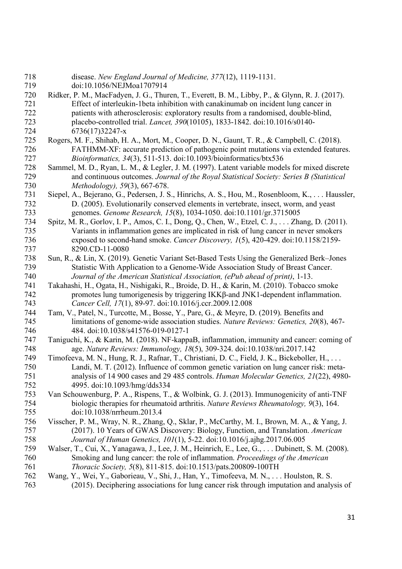disease. *New England Journal of Medicine, 377*(12), 1119-1131. doi:10.1056/NEJMoa1707914

- Ridker, P. M., MacFadyen, J. G., Thuren, T., Everett, B. M., Libby, P., & Glynn, R. J. (2017). Effect of interleukin-1beta inhibition with canakinumab on incident lung cancer in patients with atherosclerosis: exploratory results from a randomised, double-blind, placebo-controlled trial. *Lancet, 390*(10105), 1833-1842. doi:10.1016/s0140- 6736(17)32247-x
- Rogers, M. F., Shihab, H. A., Mort, M., Cooper, D. N., Gaunt, T. R., & Campbell, C. (2018). FATHMM-XF: accurate prediction of pathogenic point mutations via extended features. *Bioinformatics, 34*(3), 511-513. doi:10.1093/bioinformatics/btx536
- Sammel, M. D., Ryan, L. M., & Legler, J. M. (1997). Latent variable models for mixed discrete and continuous outcomes. *Journal of the Royal Statistical Society: Series B (Statistical Methodology), 59*(3), 667-678.
- Siepel, A., Bejerano, G., Pedersen, J. S., Hinrichs, A. S., Hou, M., Rosenbloom, K., . . . Haussler, D. (2005). Evolutionarily conserved elements in vertebrate, insect, worm, and yeast genomes. *Genome Research, 15*(8), 1034-1050. doi:10.1101/gr.3715005
- Spitz, M. R., Gorlov, I. P., Amos, C. I., Dong, Q., Chen, W., Etzel, C. J., . . . Zhang, D. (2011). Variants in inflammation genes are implicated in risk of lung cancer in never smokers exposed to second-hand smoke. *Cancer Discovery, 1*(5), 420-429. doi:10.1158/2159- 8290.CD-11-0080
- Sun, R., & Lin, X. (2019). Genetic Variant Set-Based Tests Using the Generalized Berk–Jones Statistic With Application to a Genome-Wide Association Study of Breast Cancer. *Journal of the American Statistical Association, (ePub ahead of print)*, 1-13.
- Takahashi, H., Ogata, H., Nishigaki, R., Broide, D. H., & Karin, M. (2010). Tobacco smoke promotes lung tumorigenesis by triggering IKKβ-and JNK1-dependent inflammation. *Cancer Cell, 17*(1), 89-97. doi:10.1016/j.ccr.2009.12.008
- Tam, V., Patel, N., Turcotte, M., Bosse, Y., Pare, G., & Meyre, D. (2019). Benefits and limitations of genome-wide association studies. *Nature Reviews: Genetics, 20*(8), 467- 484. doi:10.1038/s41576-019-0127-1
- Taniguchi, K., & Karin, M. (2018). NF-kappaB, inflammation, immunity and cancer: coming of age. *Nature Reviews: Immunology, 18*(5), 309-324. doi:10.1038/nri.2017.142
- Timofeeva, M. N., Hung, R. J., Rafnar, T., Christiani, D. C., Field, J. K., Bickeboller, H., . . . Landi, M. T. (2012). Influence of common genetic variation on lung cancer risk: meta- analysis of 14 900 cases and 29 485 controls. *Human Molecular Genetics, 21*(22), 4980- 4995. doi:10.1093/hmg/dds334
- Van Schouwenburg, P. A., Rispens, T., & Wolbink, G. J. (2013). Immunogenicity of anti-TNF biologic therapies for rheumatoid arthritis. *Nature Reviews Rheumatology, 9*(3), 164. doi:10.1038/nrrheum.2013.4
- Visscher, P. M., Wray, N. R., Zhang, Q., Sklar, P., McCarthy, M. I., Brown, M. A., & Yang, J. (2017). 10 Years of GWAS Discovery: Biology, Function, and Translation. *American Journal of Human Genetics, 101*(1), 5-22. doi:10.1016/j.ajhg.2017.06.005
- Walser, T., Cui, X., Yanagawa, J., Lee, J. M., Heinrich, E., Lee, G., . . . Dubinett, S. M. (2008). Smoking and lung cancer: the role of inflammation. *Proceedings of the American Thoracic Society, 5*(8), 811-815. doi:10.1513/pats.200809-100TH
- Wang, Y., Wei, Y., Gaborieau, V., Shi, J., Han, Y., Timofeeva, M. N., . . . Houlston, R. S. (2015). Deciphering associations for lung cancer risk through imputation and analysis of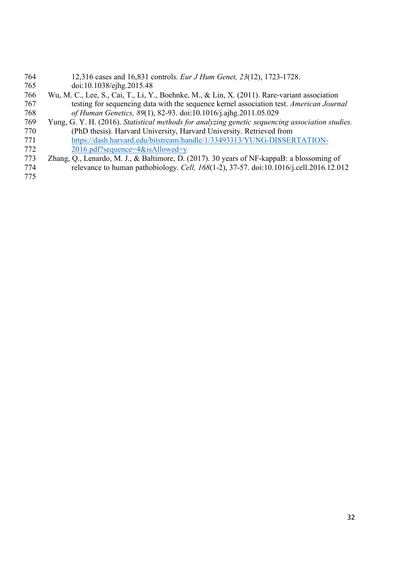- 12,316 cases and 16,831 controls. *Eur J Hum Genet, 23*(12), 1723-1728. doi:10.1038/ejhg.2015.48 Wu, M. C., Lee, S., Cai, T., Li, Y., Boehnke, M., & Lin, X. (2011). Rare-variant association testing for sequencing data with the sequence kernel association test. *American Journal of Human Genetics, 89*(1), 82-93. doi:10.1016/j.ajhg.2011.05.029 Yung, G. Y. H. (2016). *Statistical methods for analyzing genetic sequencing association studies.* (PhD thesis). Harvard University, Harvard University. Retrieved from https://dash.harvard.edu/bitstream/handle/1/33493313/YUNG-DISSERTATION- 2016.pdf?sequence=4&isAllowed=y Zhang, Q., Lenardo, M. J., & Baltimore, D. (2017). 30 years of NF-kappaB: a blossoming of relevance to human pathobiology. *Cell, 168*(1-2), 37-57. doi:10.1016/j.cell.2016.12.012
-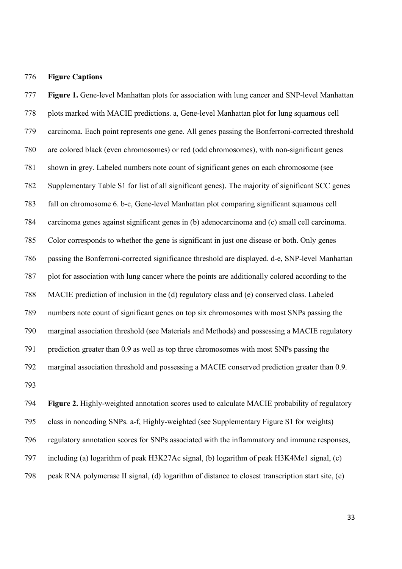#### **Figure Captions**

 **Figure 1.** Gene-level Manhattan plots for association with lung cancer and SNP-level Manhattan plots marked with MACIE predictions. a, Gene-level Manhattan plot for lung squamous cell carcinoma. Each point represents one gene. All genes passing the Bonferroni-corrected threshold are colored black (even chromosomes) or red (odd chromosomes), with non-significant genes shown in grey. Labeled numbers note count of significant genes on each chromosome (see Supplementary Table S1 for list of all significant genes). The majority of significant SCC genes fall on chromosome 6. b-c, Gene-level Manhattan plot comparing significant squamous cell carcinoma genes against significant genes in (b) adenocarcinoma and (c) small cell carcinoma. Color corresponds to whether the gene is significant in just one disease or both. Only genes passing the Bonferroni-corrected significance threshold are displayed. d-e, SNP-level Manhattan plot for association with lung cancer where the points are additionally colored according to the MACIE prediction of inclusion in the (d) regulatory class and (e) conserved class. Labeled numbers note count of significant genes on top six chromosomes with most SNPs passing the marginal association threshold (see Materials and Methods) and possessing a MACIE regulatory prediction greater than 0.9 as well as top three chromosomes with most SNPs passing the marginal association threshold and possessing a MACIE conserved prediction greater than 0.9. 

 **Figure 2.** Highly-weighted annotation scores used to calculate MACIE probability of regulatory class in noncoding SNPs. a-f, Highly-weighted (see Supplementary Figure S1 for weights) regulatory annotation scores for SNPs associated with the inflammatory and immune responses, including (a) logarithm of peak H3K27Ac signal, (b) logarithm of peak H3K4Me1 signal, (c) peak RNA polymerase II signal, (d) logarithm of distance to closest transcription start site, (e)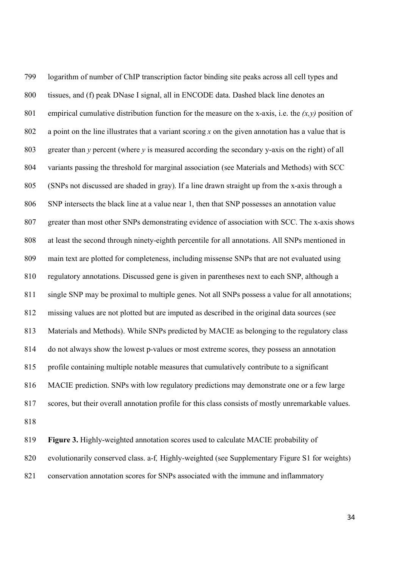logarithm of number of ChIP transcription factor binding site peaks across all cell types and tissues, and (f) peak DNase I signal, all in ENCODE data. Dashed black line denotes an 801 empirical cumulative distribution function for the measure on the x-axis, i.e. the  $(x, y)$  position of a point on the line illustrates that a variant scoring *x* on the given annotation has a value that is greater than *y* percent (where *y* is measured according the secondary y-axis on the right) of all variants passing the threshold for marginal association (see Materials and Methods) with SCC (SNPs not discussed are shaded in gray). If a line drawn straight up from the x-axis through a SNP intersects the black line at a value near 1, then that SNP possesses an annotation value greater than most other SNPs demonstrating evidence of association with SCC. The x-axis shows at least the second through ninety-eighth percentile for all annotations. All SNPs mentioned in main text are plotted for completeness, including missense SNPs that are not evaluated using regulatory annotations. Discussed gene is given in parentheses next to each SNP, although a single SNP may be proximal to multiple genes. Not all SNPs possess a value for all annotations; missing values are not plotted but are imputed as described in the original data sources (see Materials and Methods). While SNPs predicted by MACIE as belonging to the regulatory class do not always show the lowest p*-*values or most extreme scores, they possess an annotation profile containing multiple notable measures that cumulatively contribute to a significant MACIE prediction. SNPs with low regulatory predictions may demonstrate one or a few large scores, but their overall annotation profile for this class consists of mostly unremarkable values. 

 **Figure 3.** Highly-weighted annotation scores used to calculate MACIE probability of evolutionarily conserved class. a-f*,* Highly-weighted (see Supplementary Figure S1 for weights) conservation annotation scores for SNPs associated with the immune and inflammatory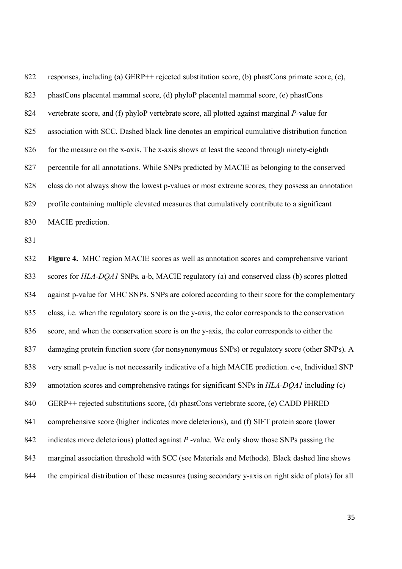responses, including (a) GERP++ rejected substitution score, (b) phastCons primate score, (c), phastCons placental mammal score, (d) phyloP placental mammal score, (e) phastCons vertebrate score, and (f) phyloP vertebrate score, all plotted against marginal *P-*value for association with SCC. Dashed black line denotes an empirical cumulative distribution function 826 for the measure on the x-axis. The x-axis shows at least the second through ninety-eighth percentile for all annotations. While SNPs predicted by MACIE as belonging to the conserved class do not always show the lowest p*-*values or most extreme scores, they possess an annotation profile containing multiple elevated measures that cumulatively contribute to a significant MACIE prediction.

 **Figure 4.** MHC region MACIE scores as well as annotation scores and comprehensive variant scores for *HLA-DQA1* SNPs*.* a-b, MACIE regulatory (a) and conserved class (b) scores plotted against p-value for MHC SNPs. SNPs are colored according to their score for the complementary class, i.e. when the regulatory score is on the y-axis, the color corresponds to the conservation score, and when the conservation score is on the y-axis, the color corresponds to either the damaging protein function score (for nonsynonymous SNPs) or regulatory score (other SNPs). A very small p-value is not necessarily indicative of a high MACIE prediction. c-e, Individual SNP annotation scores and comprehensive ratings for significant SNPs in *HLA-DQA1* including (c) GERP++ rejected substitutions score, (d) phastCons vertebrate score, (e) CADD PHRED comprehensive score (higher indicates more deleterious), and (f) SIFT protein score (lower indicates more deleterious) plotted against *P* -value. We only show those SNPs passing the marginal association threshold with SCC (see Materials and Methods). Black dashed line shows the empirical distribution of these measures (using secondary y-axis on right side of plots) for all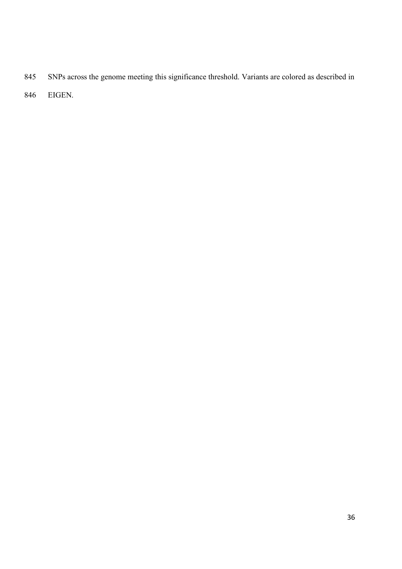- SNPs across the genome meeting this significance threshold. Variants are colored as described in
- EIGEN.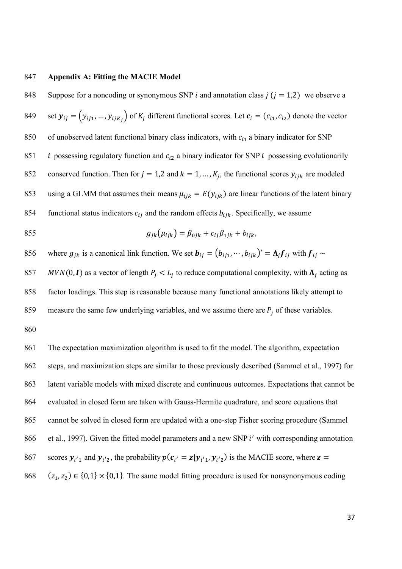## 847 **Appendix A: Fitting the MACIE Model**

848 Suppose for a noncoding or synonymous SNP *i* and annotation class  $j$  ( $j = 1,2$ ) we observe a 849 set  $y_{ij} = (y_{ij1}, ..., y_{ijK_i})$  of  $K_j$  different functional scores. Let  $c_i = (c_{i1}, c_{i2})$  denote the vector 850 of unobserved latent functional binary class indicators, with  $c_{i1}$  a binary indicator for SNP 851 *i* possessing regulatory function and  $c_{i2}$  a binary indicator for SNP *i* possessing evolutionarily 852 conserved function. Then for  $j = 1,2$  and  $k = 1, ..., K_j$ , the functional scores  $y_{ijk}$  are modeled 853 using a GLMM that assumes their means  $\mu_{ijk} = E(y_{ijk})$  are linear functions of the latent binary 854 functional status indicators  $c_{ij}$  and the random effects  $b_{ijk}$ . Specifically, we assume 855  $a_{ik}(u_{ijk}) = \beta_{0ik} + c_{ii}\beta_{1ik} + b_{ijk}$ 856 where  $g_{jk}$  is a canonical link function. We set  $\mathbf{b}_{ij} = (b_{ij1}, \dots, b_{ijk})' = \Lambda_j \mathbf{f}_{ij}$  with  $\mathbf{f}_{ij} \sim$ 857 MVN(0, I) as a vector of length  $P_i \le L_i$  to reduce computational complexity, with  $\Lambda_i$  acting as 858 factor loadings. This step is reasonable because many functional annotations likely attempt to 859 measure the same few underlying variables, and we assume there are  $P_j$  of these variables. 860 861 The expectation maximization algorithm is used to fit the model. The algorithm, expectation 862 steps, and maximization steps are similar to those previously described (Sammel et al., 1997) for 863 latent variable models with mixed discrete and continuous outcomes. Expectations that cannot be 864 evaluated in closed form are taken with Gauss-Hermite quadrature, and score equations that 865 cannot be solved in closed form are updated with a one-step Fisher scoring procedure (Sammel 866 et al., 1997). Given the fitted model parameters and a new SNP  $i'$  with corresponding annotation 867 scores  $y_{i'1}$  and  $y_{i'2}$ , the probability  $p(c_{i'} = z|y_{i'1}, y_{i'2})$  is the MACIE score, where  $z =$ 868 ( $z_1, z_2$ ) ∈ {0,1} × {0,1}. The same model fitting procedure is used for nonsynonymous coding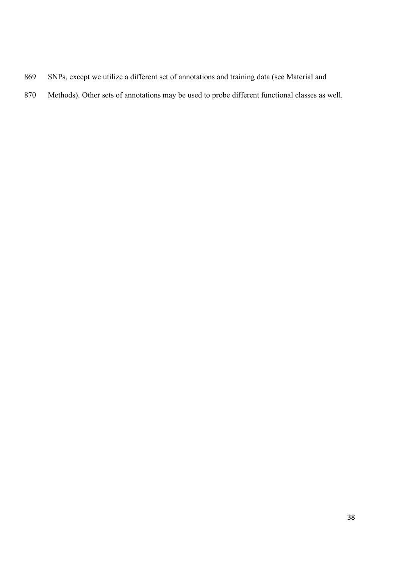- SNPs, except we utilize a different set of annotations and training data (see Material and
- Methods). Other sets of annotations may be used to probe different functional classes as well.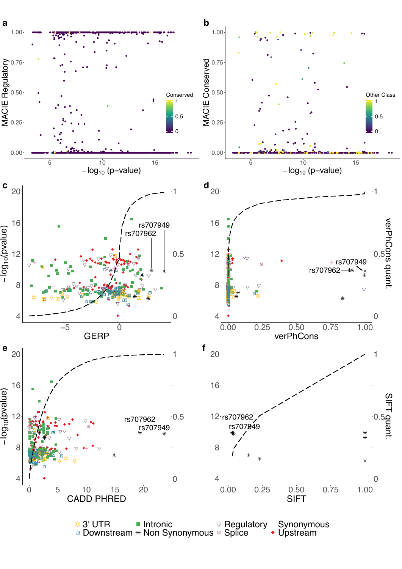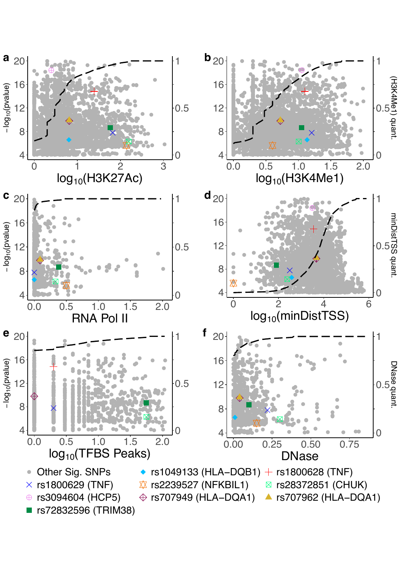